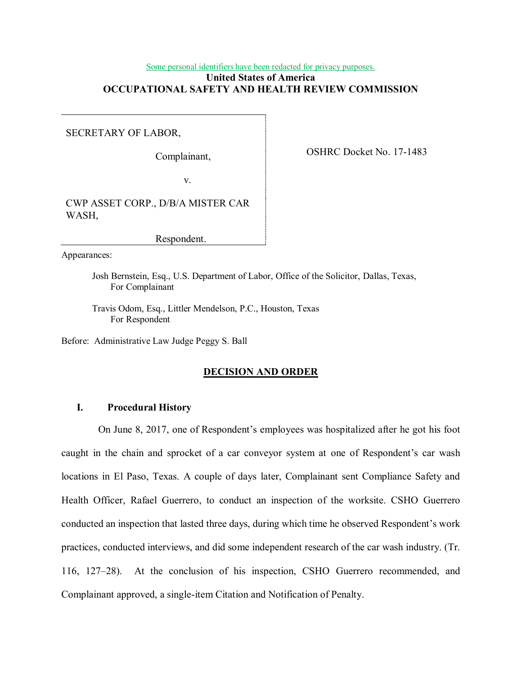# Some personal identifiers have been redacted for privacy purposes.

# **United States of America OCCUPATIONAL SAFETY AND HEALTH REVIEW COMMISSION**

SECRETARY OF LABOR,

OSHRC Docket No. 17-1483 Complainant,

v.

 CWP ASSET CORP., D/B/A MISTER CAR WASH,

Respondent.

Appearances:

 Josh Bernstein, Esq., U.S. Department of Labor, Office of the Solicitor, Dallas, Texas, For Complainant

 Travis Odom, Esq., Littler Mendelson, P.C., Houston, Texas For Respondent

Before: Administrative Law Judge Peggy S. Ball

#### **DECISION AND ORDER**

## **I. Procedural History**

 On June 8, 2017, one of Respondent's employees was hospitalized after he got his foot caught in the chain and sprocket of a car conveyor system at one of Respondent's car wash locations in El Paso, Texas. A couple of days later, Complainant sent Compliance Safety and Health Officer, Rafael Guerrero, to conduct an inspection of the worksite. CSHO Guerrero conducted an inspection that lasted three days, during which time he observed Respondent's work practices, conducted interviews, and did some independent research of the car wash industry. (Tr. 116, 127–28). At the conclusion of his inspection, CSHO Guerrero recommended, and Complainant approved, a single-item Citation and Notification of Penalty.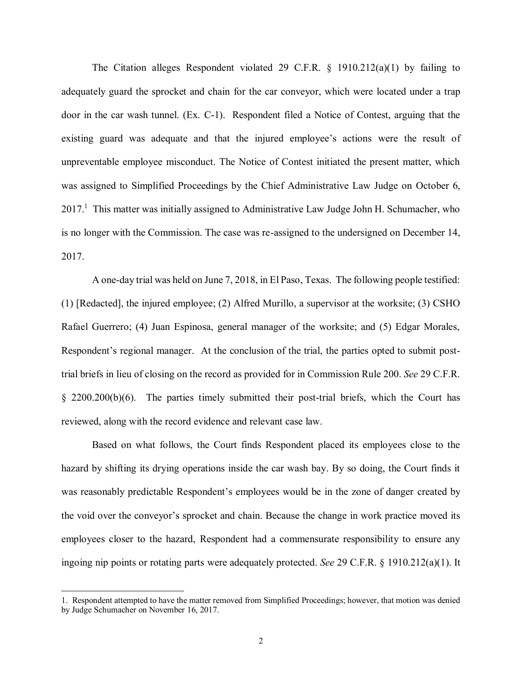The Citation alleges Respondent violated 29 C.F.R. § 1910.212(a)(1) by failing to adequately guard the sprocket and chain for the car conveyor, which were located under a trap door in the car wash tunnel. (Ex. C-1). Respondent filed a Notice of Contest, arguing that the existing guard was adequate and that the injured employee's actions were the result of unpreventable employee misconduct. The Notice of Contest initiated the present matter, which was assigned to Simplified Proceedings by the Chief Administrative Law Judge on October 6, 2017.<sup>1</sup> This matter was initially assigned to Administrative Law Judge John H. Schumacher, who is no longer with the Commission. The case was re-assigned to the undersigned on December 14, 2017.

 2017. A one-day trial was held on June 7, 2018, in El Paso, Texas. The following people testified: (1) [Redacted], the injured employee; (2) Alfred Murillo, a supervisor at the worksite; (3) CSHO Rafael Guerrero; (4) Juan Espinosa, general manager of the worksite; and (5) Edgar Morales, Respondent's regional manager. At the conclusion of the trial, the parties opted to submit post- trial briefs in lieu of closing on the record as provided for in Commission Rule 200. *See* 29 C.F.R. § 2200.200(b)(6). The parties timely submitted their post-trial briefs, which the Court has reviewed, along with the record evidence and relevant case law.

 Based on what follows, the Court finds Respondent placed its employees close to the hazard by shifting its drying operations inside the car wash bay. By so doing, the Court finds it was reasonably predictable Respondent's employees would be in the zone of danger created by the void over the conveyor's sprocket and chain. Because the change in work practice moved its employees closer to the hazard, Respondent had a commensurate responsibility to ensure any ingoing nip points or rotating parts were adequately protected. *See* 29 C.F.R. § 1910.212(a)(1). It

 1. Respondent attempted to have the matter removed from Simplified Proceedings; however, that motion was denied by Judge Schumacher on November 16, 2017.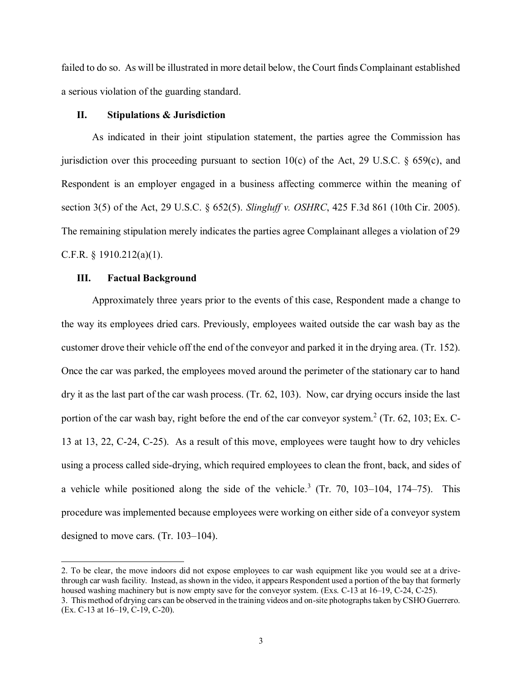failed to do so. As will be illustrated in more detail below, the Court finds Complainant established a serious violation of the guarding standard.

### **II. Stipulations & Jurisdiction**

 As indicated in their joint stipulation statement, the parties agree the Commission has jurisdiction over this proceeding pursuant to section 10(c) of the Act, 29 U.S.C. § 659(c), and Respondent is an employer engaged in a business affecting commerce within the meaning of section 3(5) of the Act, 29 U.S.C. § 652(5). *Slingluff v. OSHRC*, 425 F.3d 861 (10th Cir. 2005). The remaining stipulation merely indicates the parties agree Complainant alleges a violation of 29 C.F.R. § 1910.212(a)(1).

## **III. Factual Background**

 Approximately three years prior to the events of this case, Respondent made a change to the way its employees dried cars. Previously, employees waited outside the car wash bay as the customer drove their vehicle off the end of the conveyor and parked it in the drying area. (Tr. 152). Once the car was parked, the employees moved around the perimeter of the stationary car to hand dry it as the last part of the car wash process. (Tr. 62, 103). Now, car drying occurs inside the last portion of the car wash bay, right before the end of the car conveyor system.<sup>2</sup> (Tr. 62, 103; Ex. C- 13 at 13, 22, C-24, C-25). As a result of this move, employees were taught how to dry vehicles using a process called side-drying, which required employees to clean the front, back, and sides of a vehicle while positioned along the side of the vehicle.<sup>3</sup> (Tr. 70, 103–104, 174–75). This procedure was implemented because employees were working on either side of a conveyor system designed to move cars. (Tr. 103–104).

 2. To be clear, the move indoors did not expose employees to car wash equipment like you would see at a drive- through car wash facility. Instead, as shown in the video, it appears Respondent used a portion of the bay that formerly housed washing machinery but is now empty save for the conveyor system. (Exs. C-13 at 16–19, C-24, C-25). 3. This method of drying cars can be observed in the training videos and on-site photographs taken by CSHO Guerrero.

<sup>(</sup>Ex. C-13 at 16–19, C-19, C-20).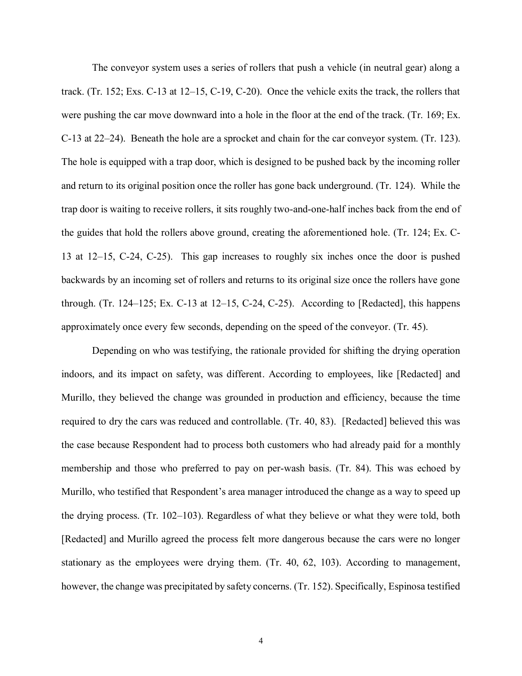The conveyor system uses a series of rollers that push a vehicle (in neutral gear) along a track. (Tr. 152; Exs. C-13 at 12–15, C-19, C-20). Once the vehicle exits the track, the rollers that were pushing the car move downward into a hole in the floor at the end of the track. (Tr. 169; Ex. C-13 at 22–24). Beneath the hole are a sprocket and chain for the car conveyor system. (Tr. 123). The hole is equipped with a trap door, which is designed to be pushed back by the incoming roller and return to its original position once the roller has gone back underground. (Tr. 124). While the trap door is waiting to receive rollers, it sits roughly two-and-one-half inches back from the end of the guides that hold the rollers above ground, creating the aforementioned hole. (Tr. 124; Ex. C- 13 at 12–15, C-24, C-25). This gap increases to roughly six inches once the door is pushed backwards by an incoming set of rollers and returns to its original size once the rollers have gone through. (Tr. 124–125; Ex. C-13 at 12–15, C-24, C-25). According to [Redacted], this happens approximately once every few seconds, depending on the speed of the conveyor. (Tr. 45).

 Depending on who was testifying, the rationale provided for shifting the drying operation indoors, and its impact on safety, was different. According to employees, like [Redacted] and Murillo, they believed the change was grounded in production and efficiency, because the time required to dry the cars was reduced and controllable. (Tr. 40, 83). [Redacted] believed this was the case because Respondent had to process both customers who had already paid for a monthly membership and those who preferred to pay on per-wash basis. (Tr. 84). This was echoed by Murillo, who testified that Respondent's area manager introduced the change as a way to speed up the drying process. (Tr. 102–103). Regardless of what they believe or what they were told, both [Redacted] and Murillo agreed the process felt more dangerous because the cars were no longer stationary as the employees were drying them. (Tr. 40, 62, 103). According to management, however, the change was precipitated by safety concerns. (Tr. 152). Specifically, Espinosa testified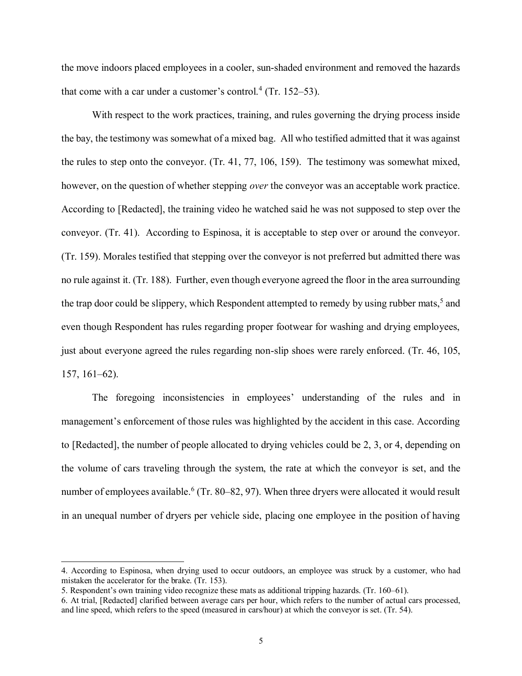the move indoors placed employees in a cooler, sun-shaded environment and removed the hazards that come with a car under a customer's control.<sup>4</sup> (Tr. 152–53).

 With respect to the work practices, training, and rules governing the drying process inside the bay, the testimony was somewhat of a mixed bag. All who testified admitted that it was against the rules to step onto the conveyor. (Tr. 41, 77, 106, 159). The testimony was somewhat mixed, however, on the question of whether stepping *over* the conveyor was an acceptable work practice. According to [Redacted], the training video he watched said he was not supposed to step over the conveyor. (Tr. 41). According to Espinosa, it is acceptable to step over or around the conveyor. (Tr. 159). Morales testified that stepping over the conveyor is not preferred but admitted there was no rule against it. (Tr. 188). Further, even though everyone agreed the floor in the area surrounding the trap door could be slippery, which Respondent attempted to remedy by using rubber mats,<sup>5</sup> and even though Respondent has rules regarding proper footwear for washing and drying employees, just about everyone agreed the rules regarding non-slip shoes were rarely enforced. (Tr. 46, 105, 157, 161–62).

 The foregoing inconsistencies in employees' understanding of the rules and in management's enforcement of those rules was highlighted by the accident in this case. According to [Redacted], the number of people allocated to drying vehicles could be 2, 3, or 4, depending on the volume of cars traveling through the system, the rate at which the conveyor is set, and the number of employees [available.](#page-5-0)<sup>6</sup> (Tr. 80–82, 97). When three dryers were allocated it would result in an unequal number of dryers per vehicle side, placing one employee in the position of having

 4. According to Espinosa, when drying used to occur outdoors, an employee was struck by a customer, who had mistaken the accelerator for the brake. (Tr. 153).

 5. Respondent's own training video recognize these mats as additional tripping hazards. (Tr. 160–61).

 6. At trial, [Redacted] clarified between average cars per hour, which refers to the number of actual cars processed, and line speed, which refers to the speed (measured in cars/hour) at which the conveyor is set. (Tr. 54).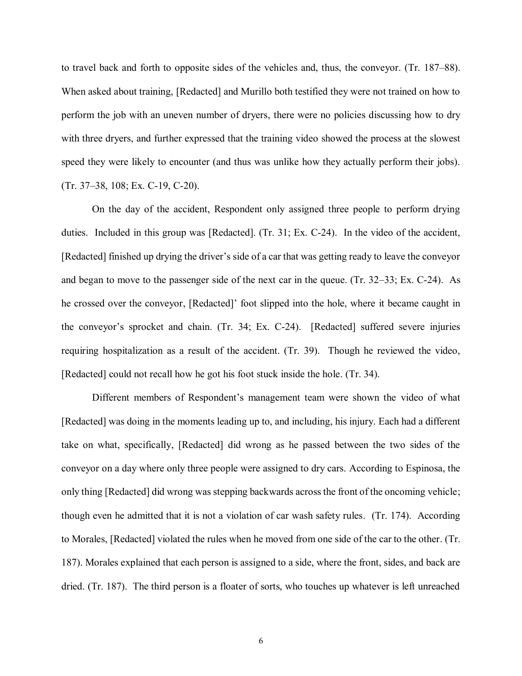<span id="page-5-0"></span> to travel back and forth to opposite sides of the vehicles and, thus, the conveyor. (Tr. 187–88). When asked about training, [Redacted] and Murillo both testified they were not trained on how to perform the job with an uneven number of dryers, there were no policies discussing how to dry with three dryers, and further expressed that the training video showed the process at the slowest speed they were likely to encounter (and thus was unlike how they actually perform their jobs). (Tr. 37–38, 108; Ex. C-19, C-20).

 On the day of the accident, Respondent only assigned three people to perform drying duties. Included in this group was [Redacted]. (Tr. 31; Ex. C-24). In the video of the accident, [Redacted] finished up drying the driver's side of a car that was getting ready to leave the conveyor and began to move to the passenger side of the next car in the queue. (Tr. 32–33; Ex. C-24). As he crossed over the conveyor, [Redacted]' foot slipped into the hole, where it became caught in the conveyor's sprocket and chain. (Tr. 34; Ex. C-24). [Redacted] suffered severe injuries requiring hospitalization as a result of the accident. (Tr. 39). Though he reviewed the video, [Redacted] could not recall how he got his foot stuck inside the hole. (Tr. 34).

 Different members of Respondent's management team were shown the video of what [Redacted] was doing in the moments leading up to, and including, his injury. Each had a different take on what, specifically, [Redacted] did wrong as he passed between the two sides of the conveyor on a day where only three people were assigned to dry cars. According to Espinosa, the only thing [Redacted] did wrong was stepping backwards across the front of the oncoming vehicle; though even he admitted that it is not a violation of car wash safety rules. (Tr. 174). According to Morales, [Redacted] violated the rules when he moved from one side of the car to the other. (Tr. 187). Morales explained that each person is assigned to a side, where the front, sides, and back are dried. (Tr. 187). The third person is a floater of sorts, who touches up whatever is left unreached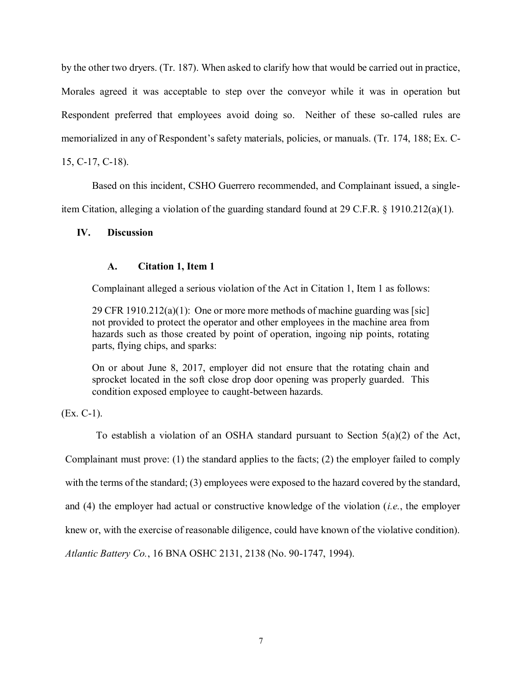by the other two dryers. (Tr. 187). When asked to clarify how that would be carried out in practice, Morales agreed it was acceptable to step over the conveyor while it was in operation but Respondent preferred that employees avoid doing so. Neither of these so-called rules are memorialized in any of Respondent's safety materials, policies, or manuals. (Tr. 174, 188; Ex. C-15, C-17, C-18).

 Based on this incident, CSHO Guerrero recommended, and Complainant issued, a single-item Citation, alleging a violation of the guarding standard found at 29 C.F.R. § 1910.212(a)(1).

# **IV. Discussion**

# **A. Citation 1, Item 1**

Complainant alleged a serious violation of the Act in Citation 1, Item 1 as follows:

 29 CFR 1910.212(a)(1): One or more more methods of machine guarding was [sic] not provided to protect the operator and other employees in the machine area from hazards such as those created by point of operation, ingoing nip points, rotating parts, flying chips, and sparks:

 On or about June 8, 2017, employer did not ensure that the rotating chain and sprocket located in the soft close drop door opening was properly guarded. This condition exposed employee to caught-between hazards.

(Ex. C-1).

 To establish a violation of an OSHA standard pursuant to Section 5(a)(2) of the Act, Complainant must prove: (1) the standard applies to the facts; (2) the employer failed to comply with the terms of the standard; (3) employees were exposed to the hazard covered by the standard, and (4) the employer had actual or constructive knowledge of the violation (*i.e.*, the employer knew or, with the exercise of reasonable diligence, could have known of the violative condition).  *Atlantic Battery Co.*, 16 BNA OSHC 2131, 2138 (No. 90-1747, 1994).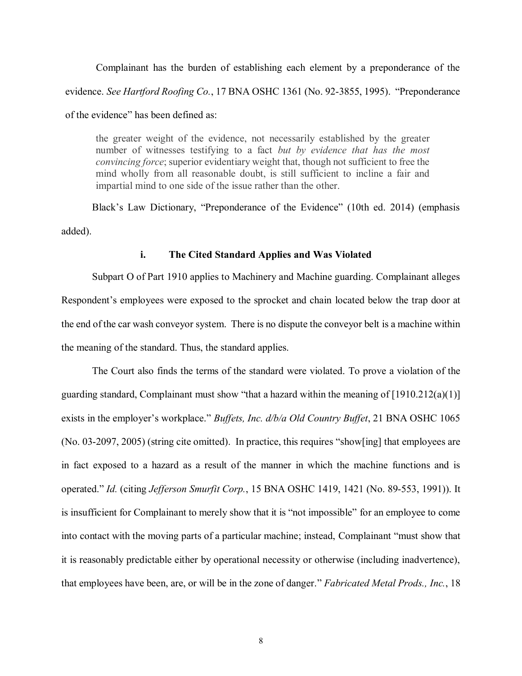Complainant has the burden of establishing each element by a preponderance of the evidence. *See Hartford Roofing Co.*, 17 BNA OSHC 1361 (No. 92-3855, 1995). "Preponderance of the evidence" has been defined as:

 the greater weight of the evidence, not necessarily established by the greater number of witnesses testifying to a fact *but by evidence that has the most convincing force*; superior evidentiary weight that, though not sufficient to free the mind wholly from all reasonable doubt, is still sufficient to incline a fair and impartial mind to one side of the issue rather than the other.

 Black's Law Dictionary, "Preponderance of the Evidence" (10th ed. 2014) (emphasis added).

### **i. The Cited Standard Applies and Was Violated**

 Subpart O of Part 1910 applies to Machinery and Machine guarding. Complainant alleges Respondent's employees were exposed to the sprocket and chain located below the trap door at the end of the car wash conveyor system. There is no dispute the conveyor belt is a machine within the meaning of the standard. Thus, the standard applies.

 The Court also finds the terms of the standard were violated. To prove a violation of the guarding standard, Complainant must show "that a hazard within the meaning of [1910.212(a)(1)] exists in the employer's workplace." *Buffets, Inc. d/b/a Old Country Buffet*, 21 BNA OSHC 1065 (No. 03-2097, 2005) (string cite omitted). In practice, this requires "show[ing] that employees are in fact exposed to a hazard as a result of the manner in which the machine functions and is operated." *Id.* (citing *Jefferson Smurfit Corp.*, 15 BNA OSHC 1419, 1421 (No. 89-553, 1991)). It is insufficient for Complainant to merely show that it is "not impossible" for an employee to come into contact with the moving parts of a particular machine; instead, Complainant "must show that it is reasonably predictable either by operational necessity or otherwise (including inadvertence), that employees have been, are, or will be in the zone of danger." *Fabricated Metal Prods., Inc.*, 18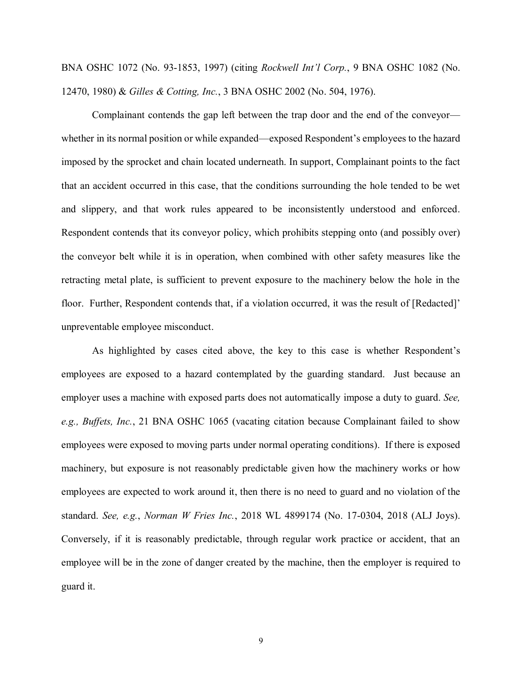BNA OSHC 1072 (No. 93-1853, 1997) (citing *Rockwell Int'l Corp.*, 9 BNA OSHC 1082 (No. 12470, 1980) & *Gilles & Cotting, Inc.*, 3 BNA OSHC 2002 (No. 504, 1976).

 Complainant contends the gap left between the trap door and the end of the conveyor— whether in its normal position or while expanded—exposed Respondent's employees to the hazard imposed by the sprocket and chain located underneath. In support, Complainant points to the fact that an accident occurred in this case, that the conditions surrounding the hole tended to be wet and slippery, and that work rules appeared to be inconsistently understood and enforced. Respondent contends that its conveyor policy, which prohibits stepping onto (and possibly over) the conveyor belt while it is in operation, when combined with other safety measures like the retracting metal plate, is sufficient to prevent exposure to the machinery below the hole in the floor. Further, Respondent contends that, if a violation occurred, it was the result of [Redacted]' unpreventable employee misconduct.

 As highlighted by cases cited above, the key to this case is whether Respondent's employees are exposed to a hazard contemplated by the guarding standard. Just because an employer uses a machine with exposed parts does not automatically impose a duty to guard. *See,*  e.g., Buffets, Inc., 21 BNA OSHC 1065 (vacating citation because Complainant failed to show employees were exposed to moving parts under normal operating conditions). If there is exposed machinery, but exposure is not reasonably predictable given how the machinery works or how employees are expected to work around it, then there is no need to guard and no violation of the  standard. *See, e.g.*, *Norman W Fries Inc.*, 2018 WL 4899174 (No. 17-0304, 2018 (ALJ Joys). Conversely, if it is reasonably predictable, through regular work practice or accident, that an employee will be in the zone of danger created by the machine, then the employer is required to guard it.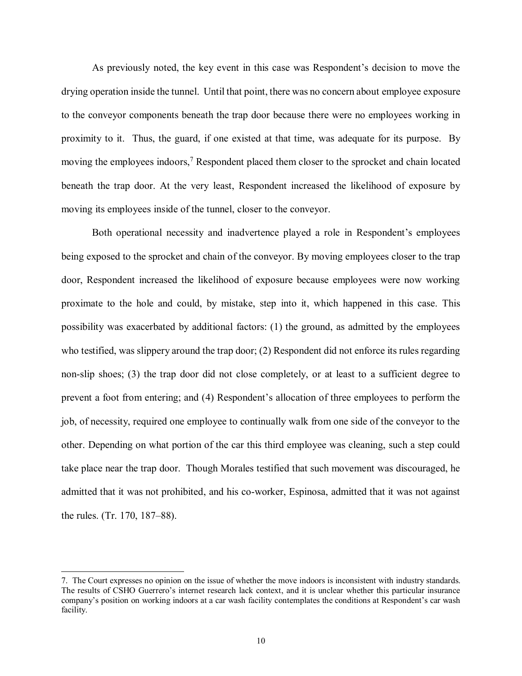As previously noted, the key event in this case was Respondent's decision to move the drying operation inside the tunnel. Until that point, there was no concern about employee exposure to the conveyor components beneath the trap door because there were no employees working in proximity to it. Thus, the guard, if one existed at that time, was adequate for its purpose. By moving the employees indoors,<sup>7</sup> Respondent placed them closer to the sprocket and chain located beneath the trap door. At the very least, Respondent increased the likelihood of exposure by moving its employees inside of the tunnel, closer to the conveyor.

 Both operational necessity and inadvertence played a role in Respondent's employees being exposed to the sprocket and chain of the conveyor. By moving employees closer to the trap door, Respondent increased the likelihood of exposure because employees were now working proximate to the hole and could, by mistake, step into it, which happened in this case. This possibility was exacerbated by additional factors: (1) the ground, as admitted by the employees who testified, was slippery around the trap door; (2) Respondent did not enforce its rules regarding non-slip shoes; (3) the trap door did not close completely, or at least to a sufficient degree to prevent a foot from entering; and (4) Respondent's allocation of three employees to perform the job, of necessity, required one employee to continually walk from one side of the conveyor to the other. Depending on what portion of the car this third employee was cleaning, such a step could take place near the trap door. Though Morales testified that such movement was discouraged, he admitted that it was not prohibited, and his co-worker, Espinosa, admitted that it was not against the rules. (Tr. 170, 187–88).

 7. The Court expresses no opinion on the issue of whether the move indoors is inconsistent with industry standards. The results of CSHO Guerrero's internet research lack context, and it is unclear whether this particular insurance company's position on working indoors at a car wash facility contemplates the conditions at Respondent's car wash facility.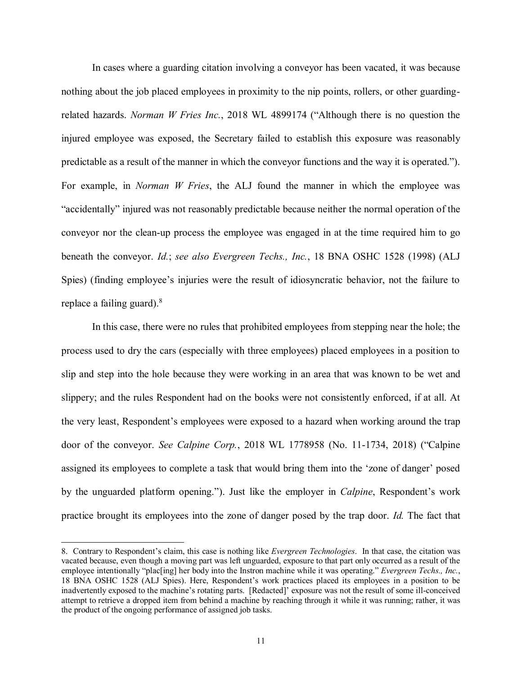In cases where a guarding citation involving a conveyor has been vacated, it was because nothing about the job placed employees in proximity to the nip points, rollers, or other guarding- related hazards. *Norman W Fries Inc.*, 2018 WL 4899174 ("Although there is no question the injured employee was exposed, the Secretary failed to establish this exposure was reasonably predictable as a result of the manner in which the conveyor functions and the way it is operated."). For example, in *Norman W Fries*, the ALJ found the manner in which the employee was "accidentally" injured was not reasonably predictable because neither the normal operation of the conveyor nor the clean-up process the employee was engaged in at the time required him to go beneath the conveyor. *Id.*; *see also Evergreen Techs., Inc.*, 18 BNA OSHC 1528 (1998) (ALJ Spies) (finding employee's injuries were the result of idiosyncratic behavior, not the failure to replace a failing guard). $8$ 

 In this case, there were no rules that prohibited employees from stepping near the hole; the process used to dry the cars (especially with three employees) placed employees in a position to slip and step into the hole because they were working in an area that was known to be wet and slippery; and the rules Respondent had on the books were not consistently enforced, if at all. At the very least, Respondent's employees were exposed to a hazard when working around the trap door of the conveyor. *See Calpine Corp.*, 2018 WL 1778958 (No. 11-1734, 2018) ("Calpine assigned its employees to complete a task that would bring them into the 'zone of danger' posed by the unguarded platform opening."). Just like the employer in *Calpine*, Respondent's work practice brought its employees into the zone of danger posed by the trap door. *Id.* The fact that

 8. Contrary to Respondent's claim, this case is nothing like *Evergreen Technologies*. In that case, the citation was vacated because, even though a moving part was left unguarded, exposure to that part only occurred as a result of the employee intentionally "plac[ing] her body into the Instron machine while it was operating." *Evergreen Techs., Inc.*, 18 BNA OSHC 1528 (ALJ Spies). Here, Respondent's work practices placed its employees in a position to be inadvertently exposed to the machine's rotating parts. [Redacted]' exposure was not the result of some ill-conceived attempt to retrieve a dropped item from behind a machine by reaching through it while it was running; rather, it was the product of the ongoing performance of assigned job tasks.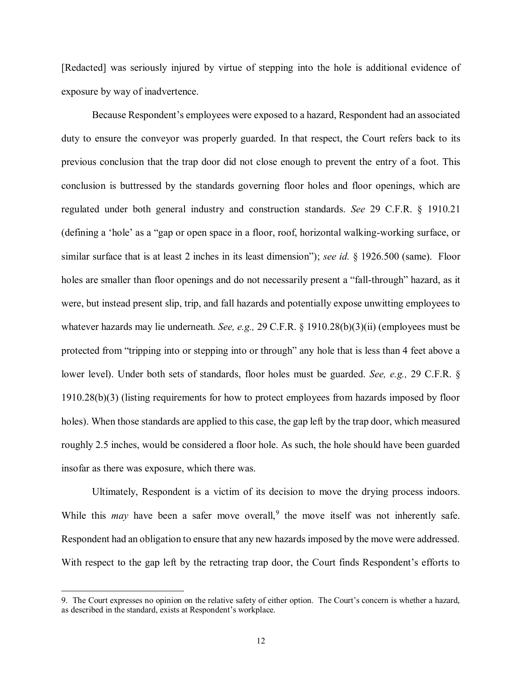[Redacted] was seriously injured by virtue of stepping into the hole is additional evidence of exposure by way of inadvertence.

 Because Respondent's employees were exposed to a hazard, Respondent had an associated duty to ensure the conveyor was properly guarded. In that respect, the Court refers back to its previous conclusion that the trap door did not close enough to prevent the entry of a foot. This conclusion is buttressed by the standards governing floor holes and floor openings, which are regulated under both general industry and construction standards. *See* 29 C.F.R. § 1910.21 (defining a 'hole' as a "gap or open space in a floor, roof, horizontal walking-working surface, or similar surface that is at least 2 inches in its least dimension"); *see id.* § 1926.500 (same). Floor holes are smaller than floor openings and do not necessarily present a "fall-through" hazard, as it were, but instead present slip, trip, and fall hazards and potentially expose unwitting employees to whatever hazards may lie underneath. *See, e.g.,* 29 C.F.R. § 1910.28(b)(3)(ii) (employees must be protected from "tripping into or stepping into or through" any hole that is less than 4 feet above a lower level). Under both sets of standards, floor holes must be guarded. *See, e.g.,* 29 C.F.R. § 1910.28(b)(3) (listing requirements for how to protect employees from hazards imposed by floor holes). When those standards are applied to this case, the gap left by the trap door, which measured roughly 2.5 inches, would be considered a floor hole. As such, the hole should have been guarded insofar as there was exposure, which there was.

 Ultimately, Respondent is a victim of its decision to move the drying process indoors. While this *may* have been a safer move overall,<sup>9</sup> the move itself was not inherently safe. Respondent had an obligation to ensure that any new hazards imposed by the move were addressed. With respect to the gap left by the retracting trap door, the Court finds Respondent's efforts to

 9. The Court expresses no opinion on the relative safety of either option. The Court's concern is whether a hazard, as described in the standard, exists at Respondent's workplace.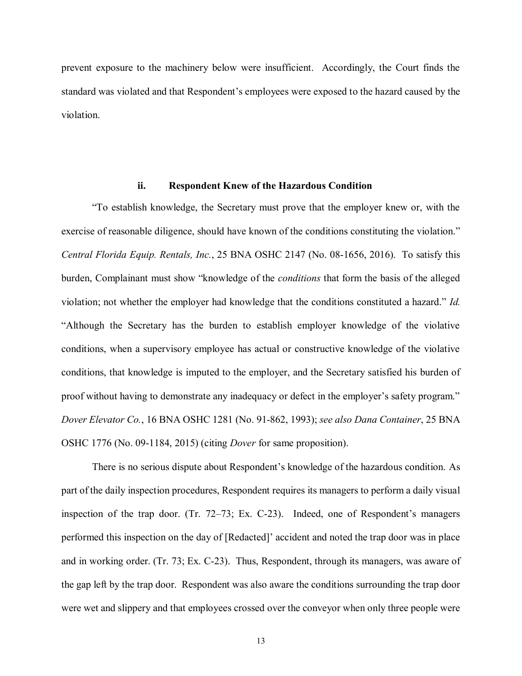prevent exposure to the machinery below were insufficient. Accordingly, the Court finds the standard was violated and that Respondent's employees were exposed to the hazard caused by the violation.

### **ii. Respondent Knew of the Hazardous Condition**

 "To establish knowledge, the Secretary must prove that the employer knew or, with the exercise of reasonable diligence, should have known of the conditions constituting the violation."  *Central Florida Equip. Rentals, Inc.*, 25 BNA OSHC 2147 (No. 08-1656, 2016). To satisfy this burden, Complainant must show "knowledge of the *conditions* that form the basis of the alleged violation; not whether the employer had knowledge that the conditions constituted a hazard." *Id.*  "Although the Secretary has the burden to establish employer knowledge of the violative conditions, when a supervisory employee has actual or constructive knowledge of the violative conditions, that knowledge is imputed to the employer, and the Secretary satisfied his burden of proof without having to demonstrate any inadequacy or defect in the employer's safety program."  *Dover Elevator Co.*, 16 BNA OSHC 1281 (No. 91-862, 1993); *see also Dana Container*, 25 BNA OSHC 1776 (No. 09-1184, 2015) (citing *Dover* for same proposition).

 There is no serious dispute about Respondent's knowledge of the hazardous condition. As part of the daily inspection procedures, Respondent requires its managers to perform a daily visual inspection of the trap door. (Tr. 72–73; Ex. C-23). Indeed, one of Respondent's managers performed this inspection on the day of [Redacted]' accident and noted the trap door was in place and in working order. (Tr. 73; Ex. C-23). Thus, Respondent, through its managers, was aware of the gap left by the trap door. Respondent was also aware the conditions surrounding the trap door were wet and slippery and that employees crossed over the conveyor when only three people were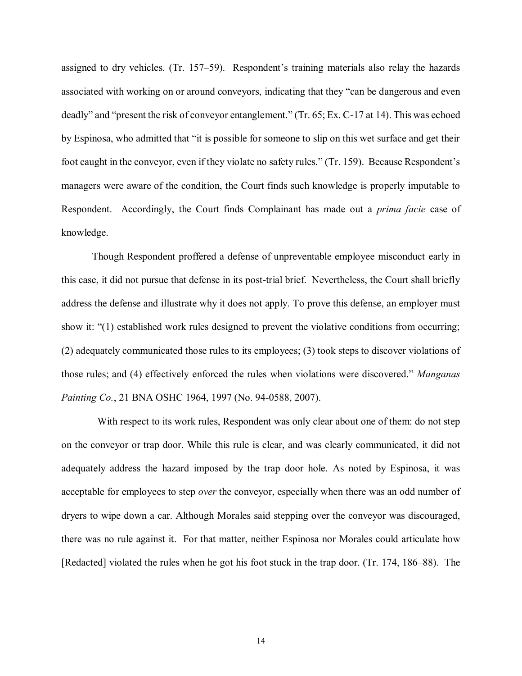assigned to dry vehicles. (Tr. 157–59). Respondent's training materials also relay the hazards associated with working on or around conveyors, indicating that they "can be dangerous and even deadly" and "present the risk of conveyor entanglement." (Tr. 65; Ex. C-17 at 14). This was echoed by Espinosa, who admitted that "it is possible for someone to slip on this wet surface and get their foot caught in the conveyor, even if they violate no safety rules." (Tr. 159). Because Respondent's managers were aware of the condition, the Court finds such knowledge is properly imputable to Respondent. Accordingly, the Court finds Complainant has made out a *prima facie* case of knowledge.

 Though Respondent proffered a defense of unpreventable employee misconduct early in this case, it did not pursue that defense in its post-trial brief. Nevertheless, the Court shall briefly address the defense and illustrate why it does not apply. To prove this defense, an employer must show it: "(1) established work rules designed to prevent the violative conditions from occurring; (2) adequately communicated those rules to its employees; (3) took steps to discover violations of those rules; and (4) effectively enforced the rules when violations were discovered." *Manganas Painting Co.*, 21 BNA OSHC 1964, 1997 (No. 94-0588, 2007).

 on the conveyor or trap door. While this rule is clear, and was clearly communicated, it did not adequately address the hazard imposed by the trap door hole. As noted by Espinosa, it was acceptable for employees to step *over* the conveyor, especially when there was an odd number of dryers to wipe down a car. Although Morales said stepping over the conveyor was discouraged, there was no rule against it. For that matter, neither Espinosa nor Morales could articulate how [Redacted] violated the rules when he got his foot stuck in the trap door. (Tr. 174, 186–88). The With respect to its work rules, Respondent was only clear about one of them: do not step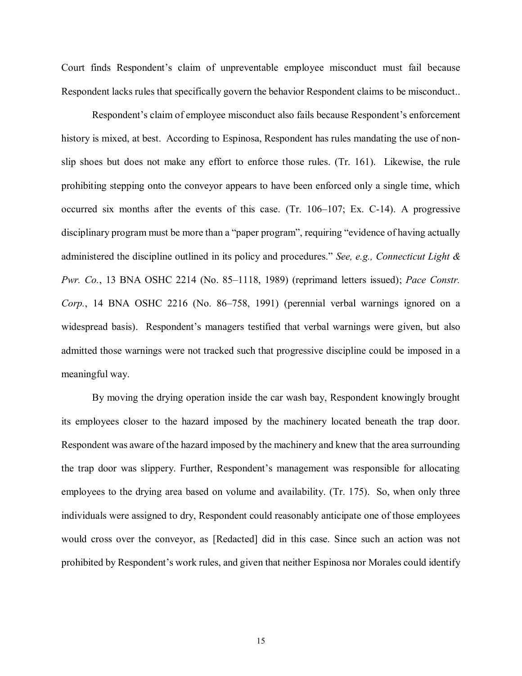Court finds Respondent's claim of unpreventable employee misconduct must fail because Respondent lacks rules that specifically govern the behavior Respondent claims to be misconduct..

 Respondent's claim of employee misconduct also fails because Respondent's enforcement history is mixed, at best. According to Espinosa, Respondent has rules mandating the use of non- slip shoes but does not make any effort to enforce those rules. (Tr. 161). Likewise, the rule prohibiting stepping onto the conveyor appears to have been enforced only a single time, which occurred six months after the events of this case. (Tr. 106–107; Ex. C-14). A progressive disciplinary program must be more than a "paper program", requiring "evidence of having actually administered the discipline outlined in its policy and procedures." *See, e.g., Connecticut Light & Pwr. Co.*, 13 BNA OSHC 2214 (No. 85–1118, 1989) (reprimand letters issued); *Pace Constr. Corp.*, 14 BNA OSHC 2216 (No. 86–758, 1991) (perennial verbal warnings ignored on a widespread basis). Respondent's managers testified that verbal warnings were given, but also admitted those warnings were not tracked such that progressive discipline could be imposed in a meaningful way.

 By moving the drying operation inside the car wash bay, Respondent knowingly brought its employees closer to the hazard imposed by the machinery located beneath the trap door. Respondent was aware of the hazard imposed by the machinery and knew that the area surrounding the trap door was slippery. Further, Respondent's management was responsible for allocating employees to the drying area based on volume and availability. (Tr. 175). So, when only three individuals were assigned to dry, Respondent could reasonably anticipate one of those employees would cross over the conveyor, as [Redacted] did in this case. Since such an action was not prohibited by Respondent's work rules, and given that neither Espinosa nor Morales could identify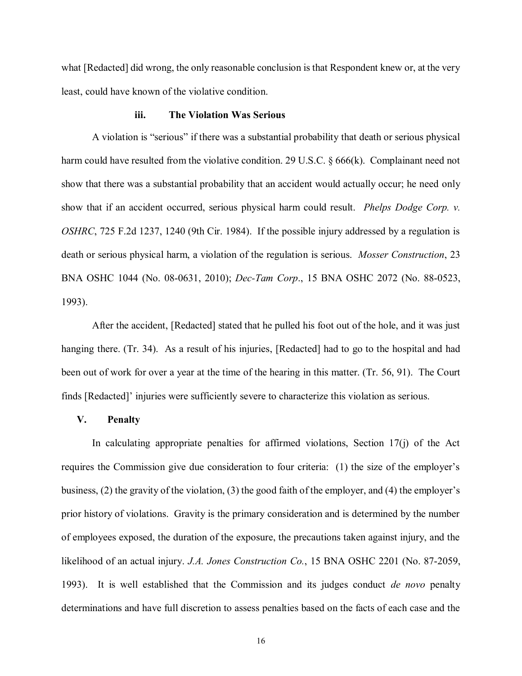what [Redacted] did wrong, the only reasonable conclusion is that Respondent knew or, at the very least, could have known of the violative condition.

### **iii. The Violation Was Serious**

 A violation is "serious" if there was a substantial probability that death or serious physical harm could have resulted from the violative condition. 29 U.S.C. § 666(k). Complainant need not show that there was a substantial probability that an accident would actually occur; he need only show that if an accident occurred, serious physical harm could result. *Phelps Dodge Corp. v. OSHRC*, 725 F.2d 1237, 1240 (9th Cir. 1984). If the possible injury addressed by a regulation is death or serious physical harm, a violation of the regulation is serious. *Mosser Construction*, 23 BNA OSHC 1044 (No. 08-0631, 2010); *Dec-Tam Corp*., 15 BNA OSHC 2072 (No. 88-0523, 1993).

 After the accident, [Redacted] stated that he pulled his foot out of the hole, and it was just hanging there. (Tr. 34). As a result of his injuries, [Redacted] had to go to the hospital and had been out of work for over a year at the time of the hearing in this matter. (Tr. 56, 91). The Court finds [Redacted]' injuries were sufficiently severe to characterize this violation as serious.

# **V. Penalty**

 In calculating appropriate penalties for affirmed violations, Section 17(j) of the Act requires the Commission give due consideration to four criteria: (1) the size of the employer's business, (2) the gravity of the violation, (3) the good faith of the employer, and (4) the employer's prior history of violations. Gravity is the primary consideration and is determined by the number of employees exposed, the duration of the exposure, the precautions taken against injury, and the likelihood of an actual injury. *J.A. Jones Construction Co.*, 15 BNA OSHC 2201 (No. 87-2059, 1993). It is well established that the Commission and its judges conduct *de novo* penalty determinations and have full discretion to assess penalties based on the facts of each case and the